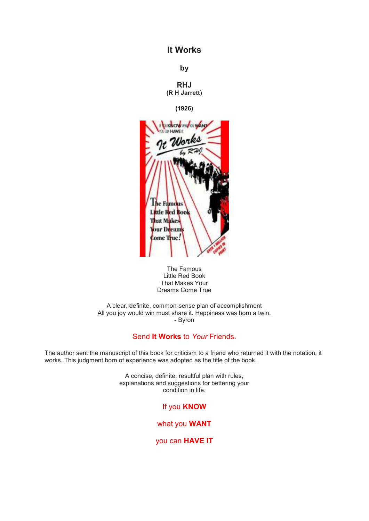# **It Works**

**by** 

**RHJ (R H Jarrett)** 

**(1926)** 



The Famous Little Red Book That Makes Your Dreams Come True

A clear, definite, common-sense plan of accomplishment All you joy would win must share it. Happiness was born a twin. - Byron

# Send **It Works** to *Your* Friends.

The author sent the manuscript of this book for criticism to a friend who returned it with the notation, it works. This judgment born of experience was adopted as the title of the book.

> A concise, definite, resultful plan with rules, explanations and suggestions for bettering your condition in life.

## If you **KNOW**

# what you **WANT**

you can **HAVE IT**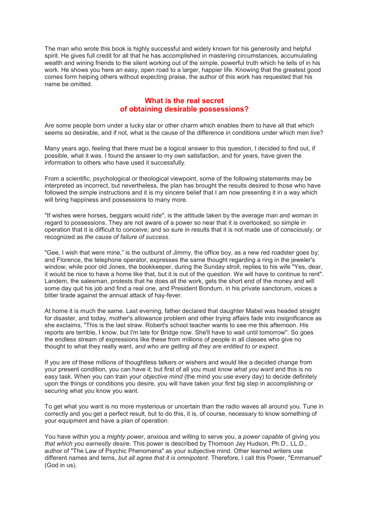The man who wrote this book is highly successful and widely known for his generosity and helpful spirit. He gives full credit for all that he has accomplished in mastering circumstances, accumulating wealth and wining friends to the silent working out of the simple, powerful truth which he tells of in his work. He shows you here an easy, open road to a larger, happier life. Knowing that the greatest good comes form helping others without expecting praise, the author of this work has requested that his name be omitted.

### **What is the real secret of obtaining desirable possessions?**

Are some people born under a lucky star or other charm which enables them to have all that which seems so desirable, and if not, what is the cause of the difference in conditions under which men live?

Many years ago, feeling that there must be a logical answer to this question, I decided to find out, if possible, what it was. I found the answer to my own satisfaction, and for years, have given the information to others who have used it successfully.

From a scientific, psychological or theological viewpoint, some of the following statements may be interpreted as incorrect, but nevertheless, the plan has brought the results desired to those who have followed the simple instructions and it is my sincere belief that I am now presenting it in a way which will bring happiness and possessions to many more.

"If wishes were horses, beggars would ride", is the attitude taken by the average man and woman in regard to possessions. They are not aware of a power so near that it is overlooked; so simple in operation that it is difficult to conceive; and so sure in results that it is not made use of consciously, or recognized as *the cause of failure of success*.

"Gee, I wish that were mine," is the outburst of Jimmy, the office boy, as a new red roadster goes by; and Florence, the telephone operator, expresses the same thought regarding a ring in the jeweler's window; while poor old Jones, the bookkeeper, during the Sunday stroll, replies to his wife "Yes, dear, it would be nice to have a home like that, but it is out of the question. We will have to continue to rent". Landem, the salesman, protests that he does all the work, gets the short end of the money and will some day quit his job and find a real one, and President Bondum, in his private sanctorum, voices a bitter tirade against the annual attack of hay-fever.

At home it is much the same. Last evening, father declared that daughter Mabel was headed straight for disaster, and today, mother's allowance problem and other trying affairs fade into insignificance as she exclaims, "This is the last straw. Robert's school teacher wants to see me this afternoon. His reports are terrible, I know, but I'm late for Bridge now. She'll have to wait until tomorrow". So goes the endless stream of expressions like these from millions of people in all classes who give no thought to what they really want, *and who are getting all they are entitled to or expect*.

If you are of these millions of thoughtless talkers or wishers and would like a decided change from your present condition, you can have it; but first of all you must *know what you want* and this is no easy task. When you can train your *objective mind* (the mind you use every day) to decide definitely upon the things or conditions you desire, you will have taken your first big step in accomplishing or securing what you know you want.

To get what you want is no more mysterious or uncertain than the radio waves all around you. Tune in correctly and you get a perfect result, but to do this, it is, of course, necessary to know something of your equipment and have a plan of operation.

You have within you a *mighty power*, anxious and willing to serve you, a *power capable* of giving you *that which you earnestly desire*. This power is described by Thomson Jay Hudson, Ph.D., LL.D., author of "The Law of Psychic Phenomena" as your subjective mind. Other learned writers use different names and terns, *but all agree that it is omnipotent*. Therefore, I call this Power, "Emmanuel" (God in us).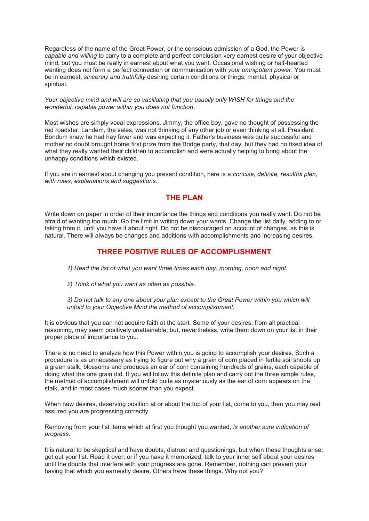Regardless of the name of the Great Power, or the conscious admission of a God, the Power is *capable and willing* to carry to a complete and perfect conclusion very earnest desire of your objective mind, but you must be really in earnest about what you want. Occasional wishing or half-hearted wanting does not form a perfect connection or communication with *your omnipotent power*. You must be in earnest, *sincerely and truthfully* desiring certain conditions or things, mental, physical or spiritual.

*Your objective mind and will are so vacillating that you usually only WISH for things and the wonderful, capable power within you does not function*.

Most wishes are simply vocal expressions. Jimmy, the office boy, gave no thought of possessing the red roadster. Landem, the sales, was not thinking of any other job or even thinking at all. President Bondum knew he had hay fever and was expecting it. Father's business was quite successful and mother no doubt brought home first prize from the Bridge party, that day, but they had no fixed idea of what they really wanted their children to accomplish and were actually helping to bring about the unhappy conditions which existed.

If you are in earnest about changing you present condition, here is a *concise, definite, resultful plan, with rules, explanations and suggestions*.

## **THE PLAN**

Write down on paper in order of their importance the things and conditions you really want. Do not be afraid of wanting too much. Go the limit in writing down your wants. Change the list daily, adding to or taking from it, until you have it about right. Do not be discouraged on account of changes, as this is natural. There will always be changes and additions with accomplishments and increasing desires.

## **THREE POSITIVE RULES OF ACCOMPLISHMENT**

*1) Read the list of what you want three times each day: morning, noon and night.* 

*2) Think of what you want as often as possible.* 

*3) Do not talk to any one about your plan except to the Great Power within you which will unfold to your Objective Mind the method of accomplishment.* 

It is obvious that you can not acquire faith at the start. Some of your desires, from all practical reasoning, may seem positively unattainable; but, nevertheless, write them down on your list in their proper place of importance to you.

There is no need to analyze how this Power within you is going to accomplish your desires. Such a procedure is as unnecessary as trying to figure out why a grain of corn placed in fertile soil shoots up a green stalk, blossoms and produces an ear of corn containing hundreds of grains, each capable of doing what the one grain did. If you will follow this definite plan and carry out the three simple rules, the method of accomplishment will unfold quite as mysteriously as the ear of corn appears on the stalk, and in most cases much sooner than you expect.

When new desires, deserving position at or about the top of your list, come to you, then you may rest assured you are progressing correctly.

Removing from your list items which at first you thought you wanted, *is another sure indication of progress.* 

It is natural to be skeptical and have doubts, distrust and questionings, but when these thoughts arise, get out your list. Read it over; or if you have it memorized, talk to your inner self about your desires until the doubts that interfere with your progress are gone. Remember, nothing can prevent your having that which you earnestly desire. Others have these things. Why not you?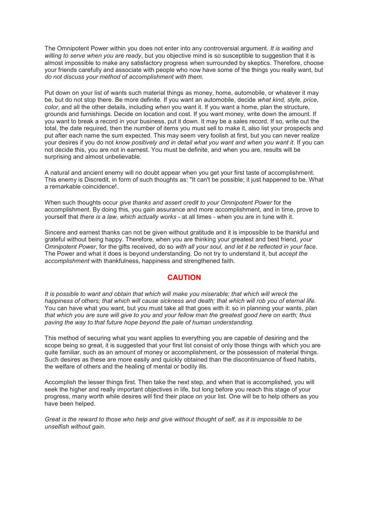The Omnipotent Power within you does not enter into any controversial argument. *It is waiting and willing to serve when you are ready*, but you objective mind is so susceptible to suggestion that it is almost impossible to make any satisfactory progress when surrounded by skeptics. Therefore, choose your friends carefully and associate with people who now have some of the things you really want, but *do not discuss your method of accomplishment with them.* 

Put down on your list of wants such material things as money, home, automobile, or whatever it may be, but do not stop there. Be more definite. If you want an automobile, decide *what kind, style, price, color*, and all the other details, including *when* you want it. If you want a home, plan the structure, grounds and furnishings. Decide on location and cost. If you want money, write down the amount. If you want to break a record in your business, put it down. It may be a sales record. If so, write out the total, the date required, then the number of items you must sell to make it, also list your prospects and put after each name the sum expected. This may seem very foolish at first, but you can never realize your desires if you do not *know positively and in detail what you want and when you want it*. If you can not decide this, you are not in earnest. You must be definite, and when you are, results will be surprising and almost unbelievable.

A natural and ancient enemy will no doubt appear when you get your first taste of accomplishment. This enemy is Discredit, in form of such thoughts as: "It can't be possible; it just happened to be. What a remarkable coincidence!.

When such thoughts occur *give thanks and assert credit to your Omnipotent Power* for the accomplishment. By doing this, you gain assurance and more accomplishment, and in time, prove to yourself that *there is a law, which actually works* - at all times - when you are in tune with it.

Sincere and earnest thanks can not be given without gratitude and it is impossible to be thankful and grateful without being happy. Therefore, when you are thinking your greatest and best friend, *your Omnipotent Power*, for the gifts received, do so *with all your soul, and let it be reflected in your face*. The Power and what it does is beyond understanding. Do not try to understand it, but *accept the accomplishment* with thankfulness, happiness and strengthened faith.

#### **CAUTION**

*It is possible to want and obtain that which will make you miserable; that which will wreck the happiness of others; that which will cause sickness and death; that which will rob you of eternal life.* You can have what you want, but you must take all that goes with it: so in planning your wants, *plan that which you are sure will give to you and your fellow man the greatest good here on earth; thus paving the way to that future hope beyond the pale of human understanding.* 

This method of securing what you want applies to everything you are capable of desiring and the scope being so great, it is suggested that your first list consist of only those things with which you are quite familiar, such as an amount of money or accomplishment, or the possession of material things. Such desires as these are more easily and quickly obtained than the discontinuance of fixed habits, the welfare of others and the healing of mental or bodily ills.

Accomplish the lesser things first. Then take the next step, and when that is accomplished, you will seek the higher and really important objectives in life, but long before you reach this stage of your progress, many worth while desires will find their place on your list. One will be to help others as you have been helped.

*Great is the reward to those who help and give without thought of self, as it is impossible to be unselfish without gain.*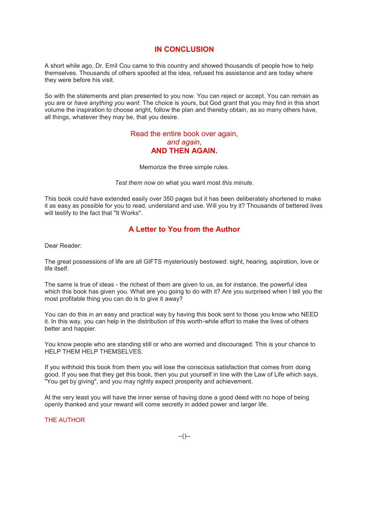#### **IN CONCLUSION**

A short while ago, Dr. Emil Cou came to this country and showed thousands of people how to help themselves. Thousands of others spoofed at the idea, refused his assistance and are today where they were before his visit.

So with the statements and plan presented to you now. You can reject or accept. You can remain as you are or *have anything you want*. The choice is yours, but God grant that you may find in this short volume the inspiration to choose aright, follow the plan and thereby obtain, as so many others have, all things, whatever they may be, that you desire.

#### Read the entire book over again, *and again*, **AND THEN AGAIN.**

Memorize the three simple rules.

*Test them now* on what you want most *this minute*.

This book could have extended easily over 350 pages but it has been deliberately shortened to make it as easy as possible for you to read, understand and use. Will you try it? Thousands of bettered lives will testify to the fact that "It Works".

## **A Letter to You from the Author**

Dear Reader:

The great possessions of life are all GIFTS mysteriously bestowed: sight, hearing, aspiration, love or life itself.

The same is true of ideas - the richest of them are given to us, as for instance, the powerful idea which this book has given you. What are you going to do with it? Are you surprised when I tell you the most profitable thing you can do is to give it away?

You can do this in an easy and practical way by having this book sent to those you know who NEED it. In this way, you can help in the distribution of this worth-while effort to make the lives of others better and happier.

You know people who are standing still or who are worried and discouraged. This is your chance to HELP THEM HELP THEMSELVES.

If you withhold this book from them you will lose the conscious satisfaction that comes from doing good. If you see that they get this book, then you put yourself in line with the Law of Life which says, "You get by giving", and you may rightly expect prosperity and achievement.

At the very least you will have the inner sense of having done a good deed with no hope of being openly thanked and your reward will come secretly in added power and larger life.

THE AUTHOR